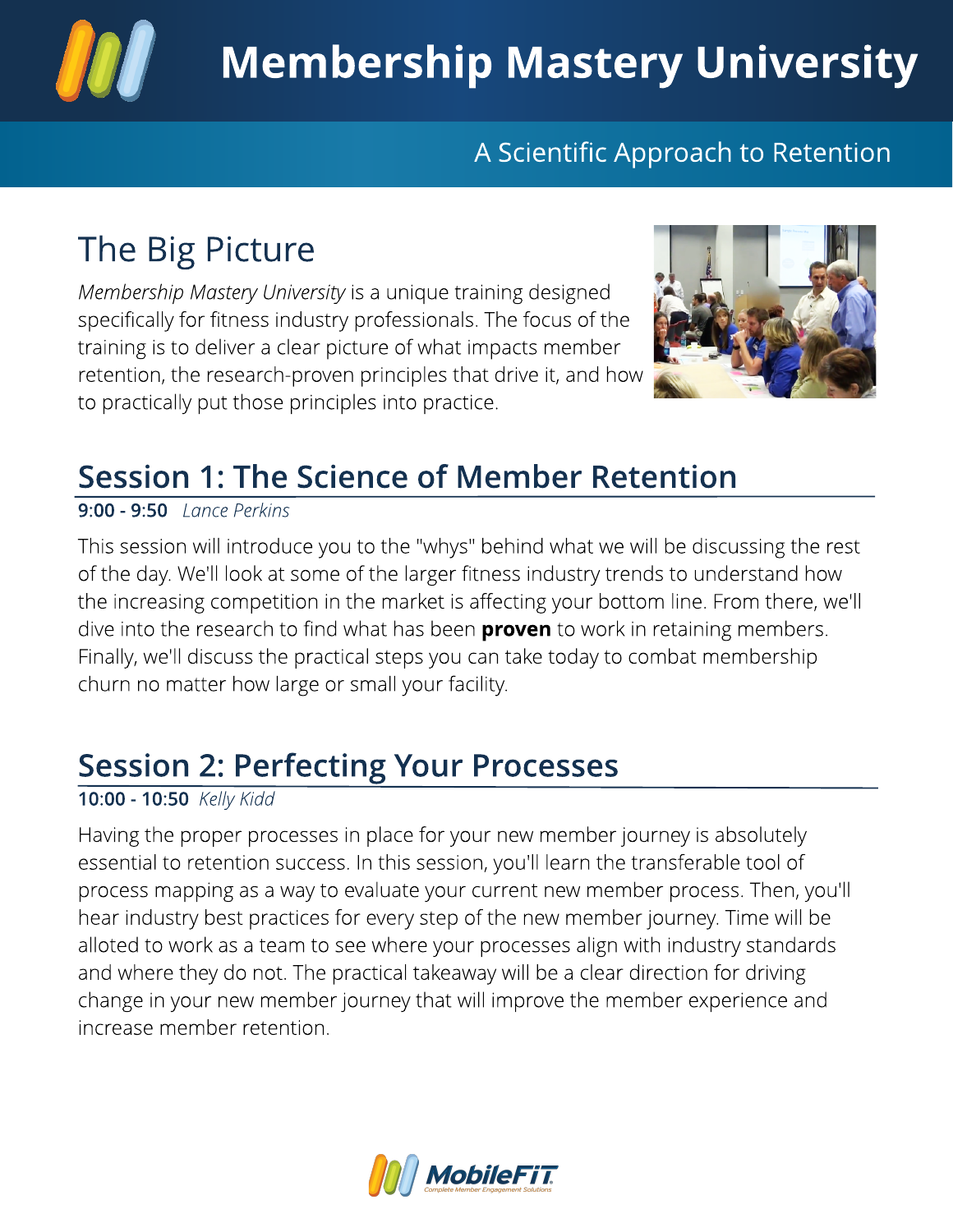

#### A Scientific Approach to Retention

# The Big Picture

**Membership Mastery University** is a unique training designed specifically for fitness industry professionals. The focus of the training is to deliver a clear picture of what impacts member retention, the research-proven principles that drive it, and how to practically put those principles into practice.



#### Session 1: The Science of Member Retention

9:00 - 9:50 *Lance Perkins* 

This session will introduce you to the "whys" behind what we will be discussing the rest of the day. We'll look at some of the larger fitness industry trends to understand how the increasing competition in the market is affecting your bottom line. From there, we'll dive into the research to find what has been **proven** to work in retaining members. Finally, we'll discuss the practical steps you can take today to combat membership churn no matter how large or small your facility.

### Session 2: Perfecting Your Processes

#### 10:00 - 10:50 **Kelly Kidd**

Having the proper processes in place for your new member journey is absolutely essential to retention success. In this session, you'll learn the transferable tool of process mapping as a way to evaluate your current new member process. Then, you'll hear industry best practices for every step of the new member journey. Time will be alloted to work as a team to see where your processes align with industry standards and where they do not. The practical takeaway will be a clear direction for driving change in your new member journey that will improve the member experience and increase member retention.

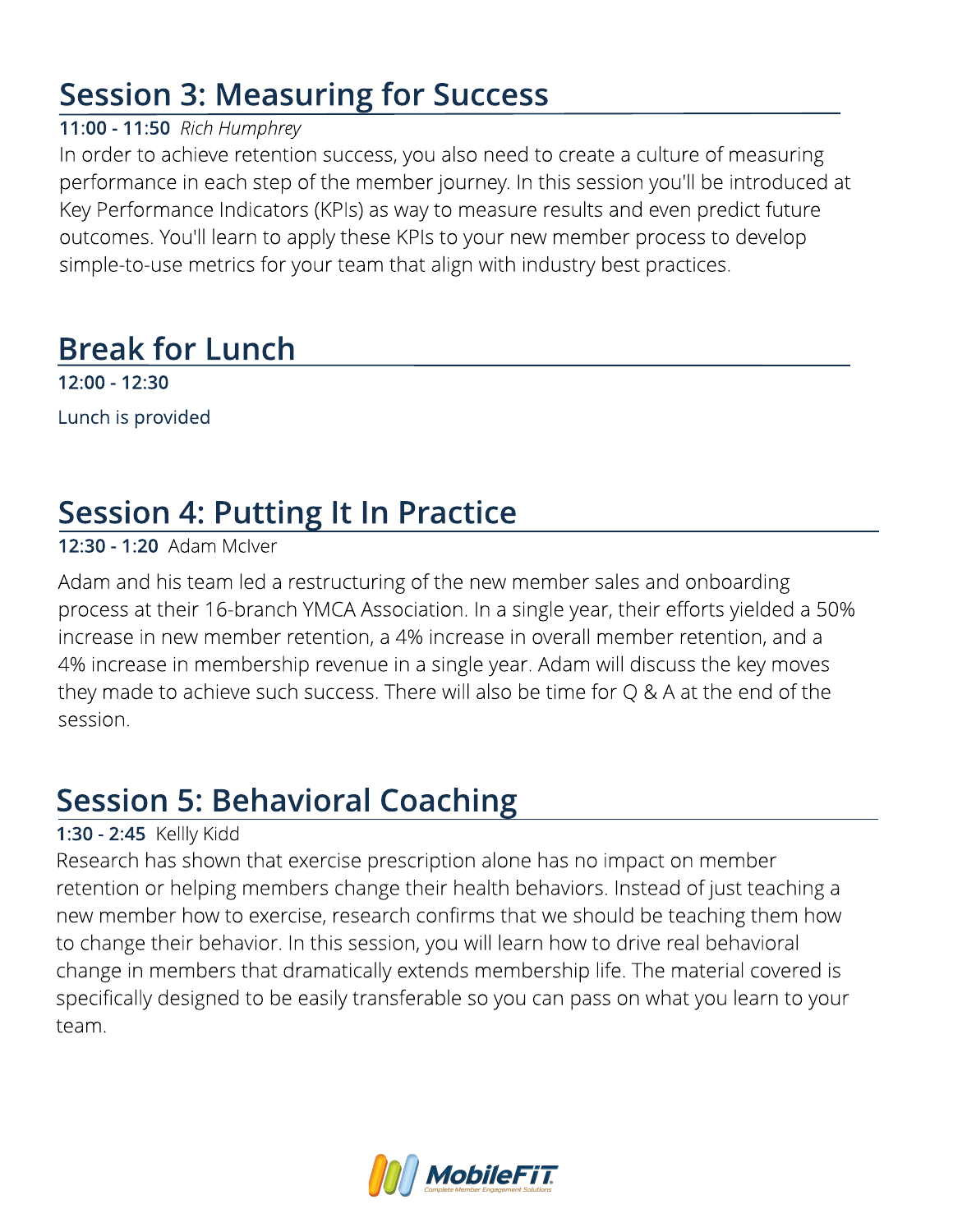### Session 3: Measuring for Success

#### 11:00 - 11:50 **Rich Humphrey**

In order to achieve retention success, you also need to create a culture of measuring performance in each step of the member journey. In this session you'll be introduced at Key Performance Indicators (KPIs) as way to measure results and even predict future outcomes. You'll learn to apply these KPIs to your new member process to develop simple-to-use metrics for your team that align with industry best practices.

### Break for Lunch

12:00 - 12:30 Lunch is provided

## Session 4: Putting It In Practice

#### 12:30 - 1:20 Adam McIver

Adam and his team led a restructuring of the new member sales and onboarding process at their 16-branch YMCA Association. In a single year, their efforts yielded a 50% increase in new member retention, a 4% increase in overall member retention, and a 4% increase in membership revenue in a single year. Adam will discuss the key moves they made to achieve such success. There will also be time for Q & A at the end of the session.

### Session 5: Behavioral Coaching

#### 1:30 - 2:45 Kellly Kidd

Research has shown that exercise prescription alone has no impact on member retention or helping members change their health behaviors. Instead of just teaching a new member how to exercise, research confirms that we should be teaching them how to change their behavior. In this session, you will learn how to drive real behavioral change in members that dramatically extends membership life. The material covered is specifically designed to be easily transferable so you can pass on what you learn to your team.